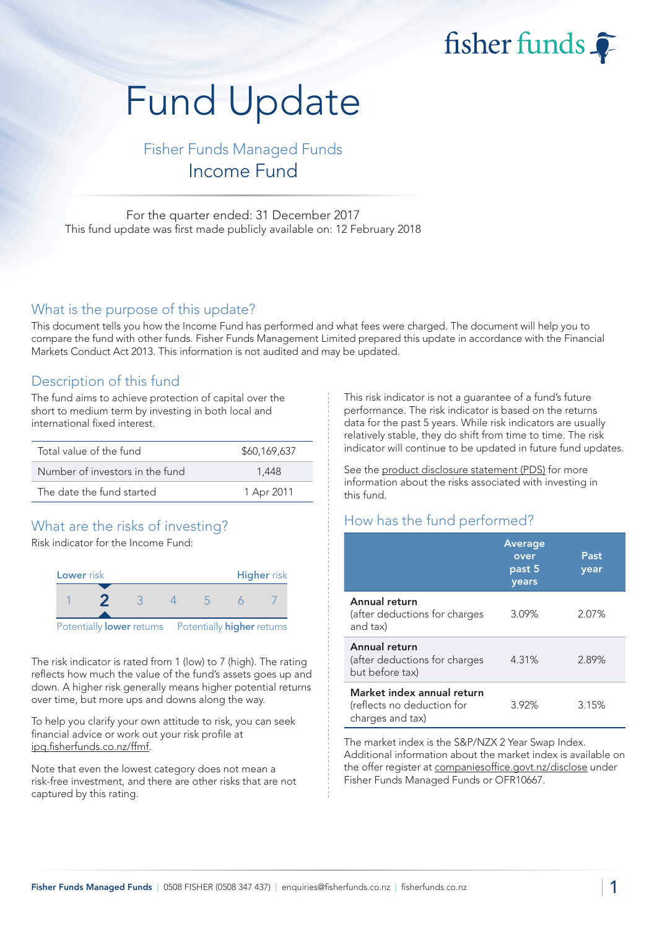# fisher funds  $\widehat{\bullet}$

# Fund Update

# Fisher Funds Managed Funds Income Fund

For the quarter ended: 31 December 2017 This fund update was first made publicly available on: 12 February 2018

#### What is the purpose of this update?

This document tells you how the Income Fund has performed and what fees were charged. The document will help you to compare the fund with other funds. Fisher Funds Management Limited prepared this update in accordance with the Financial Markets Conduct Act 2013. This information is not audited and may be updated.

# Description of this fund

The fund aims to achieve protection of capital over the short to medium term by investing in both local and international fixed interest.

| Total value of the fund         | \$60,169,637 |
|---------------------------------|--------------|
| Number of investors in the fund | 1.448        |
| The date the fund started       | 1 Apr 2011   |

# What are the risks of investing?

Risk indicator for the Income Fund:



The risk indicator is rated from 1 (low) to 7 (high). The rating reflects how much the value of the fund's assets goes up and down. A higher risk generally means higher potential returns over time, but more ups and downs along the way.

To help you clarify your own attitude to risk, you can seek financial advice or work out your risk profile at ipq.fisherfunds.co.nz/ffmf.

Note that even the lowest category does not mean a risk-free investment, and there are other risks that are not captured by this rating.

This risk indicator is not a guarantee of a fund's future performance. The risk indicator is based on the returns data for the past 5 years. While risk indicators are usually relatively stable, they do shift from time to time. The risk indicator will continue to be updated in future fund updates.

See the product disclosure statement (PDS) for more information about the risks associated with investing in this fund.

# How has the fund performed?

|                                                                              | <b>Average</b><br>over<br>past 5<br>years | Past<br>year |
|------------------------------------------------------------------------------|-------------------------------------------|--------------|
| Annual return<br>(after deductions for charges<br>and tax)                   | 3.09%                                     | 2.07%        |
| Annual return<br>(after deductions for charges<br>but before tax)            | 4.31%                                     | 2.89%        |
| Market index annual return<br>(reflects no deduction for<br>charges and tax) | 3.92%                                     | 3.15%        |

The market index is the S&P/NZX 2 Year Swap Index. Additional information about the market index is available on the offer register at companiesoffice.govt.nz/disclose under Fisher Funds Managed Funds or OFR10667.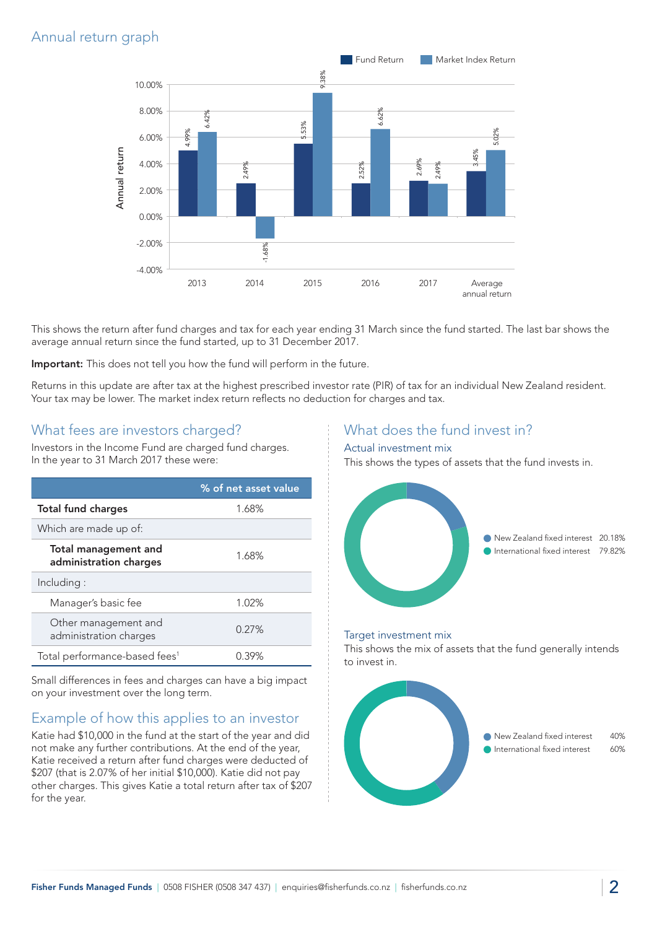# Annual return graph



This shows the return after fund charges and tax for each year ending 31 March since the fund started. The last bar shows the average annual return since the fund started, up to 31 December 2017.

Important: This does not tell you how the fund will perform in the future.

Returns in this update are after tax at the highest prescribed investor rate (PIR) of tax for an individual New Zealand resident. Your tax may be lower. The market index return reflects no deduction for charges and tax.

#### What fees are investors charged?

Investors in the Income Fund are charged fund charges. In the year to 31 March 2017 these were:

|                                                | % of net asset value |
|------------------------------------------------|----------------------|
| <b>Total fund charges</b>                      | 1.68%                |
| Which are made up of:                          |                      |
| Total management and<br>administration charges | 1.68%                |
| Including:                                     |                      |
| Manager's basic fee                            | 1.02%                |
| Other management and<br>administration charges | 0.27%                |
| Total performance-based fees <sup>1</sup>      | $0.39\%$             |

Small differences in fees and charges can have a big impact on your investment over the long term.

# Example of how this applies to an investor

Katie had \$10,000 in the fund at the start of the year and did not make any further contributions. At the end of the year, Katie received a return after fund charges were deducted of \$207 (that is 2.07% of her initial \$10,000). Katie did not pay other charges. This gives Katie a total return after tax of \$207 for the year.

### What does the fund invest in?

#### Actual investment mix

This shows the types of assets that the fund invests in.



#### Target investment mix

This shows the mix of assets that the fund generally intends to invest in.